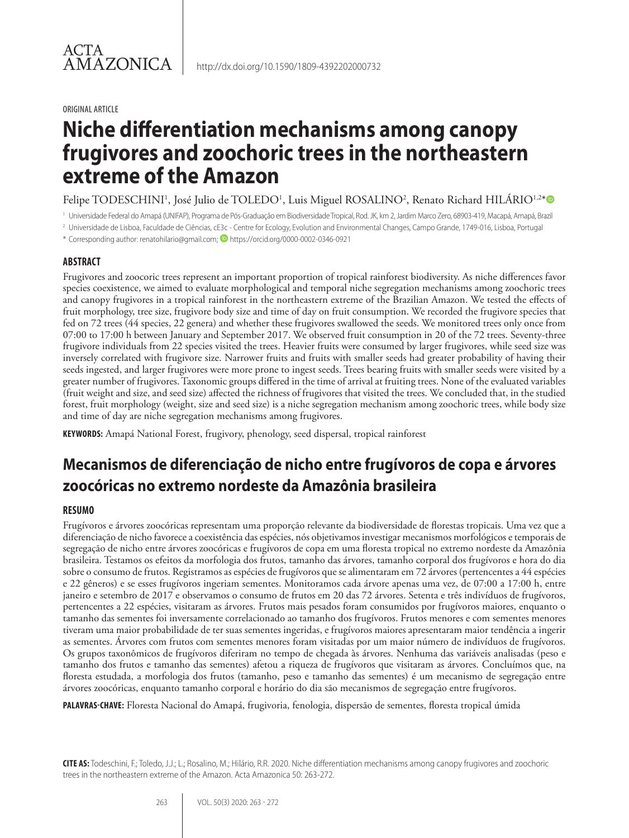#### ORIGINAL ARTICLE

# **Niche differentiation mechanisms among canopy frugivores and zoochoric trees in the northeastern extreme of the Amazon**

Felipe TODESCHINI<sup>1</sup>, José Julio de TOLEDO<sup>1</sup>, Luis Miguel ROSALINO<sup>2</sup>, Renato Richard HILÁRIO<sup>1,2\*</sup>

<sup>1</sup> Universidade Federal do Amapá (UNIFAP), Programa de Pós-Graduação em Biodiversidade Tropical, Rod. JK, km 2, Jardim Marco Zero, 68903-419, Macapá, Amapá, Brazil

<sup>2</sup> Universidade de Lisboa, Faculdade de Ciências, cE3c - Centre for Ecology, Evolution and Environmental Changes, Campo Grande, 1749-016, Lisboa, Portugal

\* Corresponding author: renatohilario@gmail.com; https://orcid.org/0000-0002-0346-0921

## **ABSTRACT**

Frugivores and zoocoric trees represent an important proportion of tropical rainforest biodiversity. As niche differences favor species coexistence, we aimed to evaluate morphological and temporal niche segregation mechanisms among zoochoric trees and canopy frugivores in a tropical rainforest in the northeastern extreme of the Brazilian Amazon. We tested the effects of fruit morphology, tree size, frugivore body size and time of day on fruit consumption. We recorded the frugivore species that fed on 72 trees (44 species, 22 genera) and whether these frugivores swallowed the seeds. We monitored trees only once from 07:00 to 17:00 h between January and September 2017. We observed fruit consumption in 20 of the 72 trees. Seventy-three frugivore individuals from 22 species visited the trees. Heavier fruits were consumed by larger frugivores, while seed size was inversely correlated with frugivore size. Narrower fruits and fruits with smaller seeds had greater probability of having their seeds ingested, and larger frugivores were more prone to ingest seeds. Trees bearing fruits with smaller seeds were visited by a greater number of frugivores. Taxonomic groups differed in the time of arrival at fruiting trees. None of the evaluated variables (fruit weight and size, and seed size) affected the richness of frugivores that visited the trees. We concluded that, in the studied forest, fruit morphology (weight, size and seed size) is a niche segregation mechanism among zoochoric trees, while body size and time of day are niche segregation mechanisms among frugivores.

**KEYWORDS:** Amapá National Forest, frugivory, phenology, seed dispersal, tropical rainforest

# **Mecanismos de diferenciação de nicho entre frugívoros de copa e árvores zoocóricas no extremo nordeste da Amazônia brasileira**

### **RESUMO**

Frugívoros e árvores zoocóricas representam uma proporção relevante da biodiversidade de florestas tropicais. Uma vez que a diferenciação de nicho favorece a coexistência das espécies, nós objetivamos investigar mecanismos morfológicos e temporais de segregação de nicho entre árvores zoocóricas e frugívoros de copa em uma floresta tropical no extremo nordeste da Amazônia brasileira. Testamos os efeitos da morfologia dos frutos, tamanho das árvores, tamanho corporal dos frugívoros e hora do dia sobre o consumo de frutos. Registramos as espécies de frugívoros que se alimentaram em 72 árvores (pertencentes a 44 espécies e 22 gêneros) e se esses frugívoros ingeriam sementes. Monitoramos cada árvore apenas uma vez, de 07:00 a 17:00 h, entre janeiro e setembro de 2017 e observamos o consumo de frutos em 20 das 72 árvores. Setenta e três indivíduos de frugívoros, pertencentes a 22 espécies, visitaram as árvores. Frutos mais pesados foram consumidos por frugívoros maiores, enquanto o tamanho das sementes foi inversamente correlacionado ao tamanho dos frugívoros. Frutos menores e com sementes menores tiveram uma maior probabilidade de ter suas sementes ingeridas, e frugívoros maiores apresentaram maior tendência a ingerir as sementes. Árvores com frutos com sementes menores foram visitadas por um maior número de indivíduos de frugívoros. Os grupos taxonômicos de frugívoros diferiram no tempo de chegada às árvores. Nenhuma das variáveis analisadas (peso e tamanho dos frutos e tamanho das sementes) afetou a riqueza de frugívoros que visitaram as árvores. Concluímos que, na floresta estudada, a morfologia dos frutos (tamanho, peso e tamanho das sementes) é um mecanismo de segregação entre árvores zoocóricas, enquanto tamanho corporal e horário do dia são mecanismos de segregação entre frugívoros.

**PALAVRAS-CHAVE:** Floresta Nacional do Amapá, frugivoria, fenologia, dispersão de sementes, floresta tropical úmida

**CITE AS:** Todeschini, F.; Toledo, J.J.; L.; Rosalino, M.; Hilário, R.R. 2020. Niche differentiation mechanisms among canopy frugivores and zoochoric trees in the northeastern extreme of the Amazon. Acta Amazonica 50: 263-272.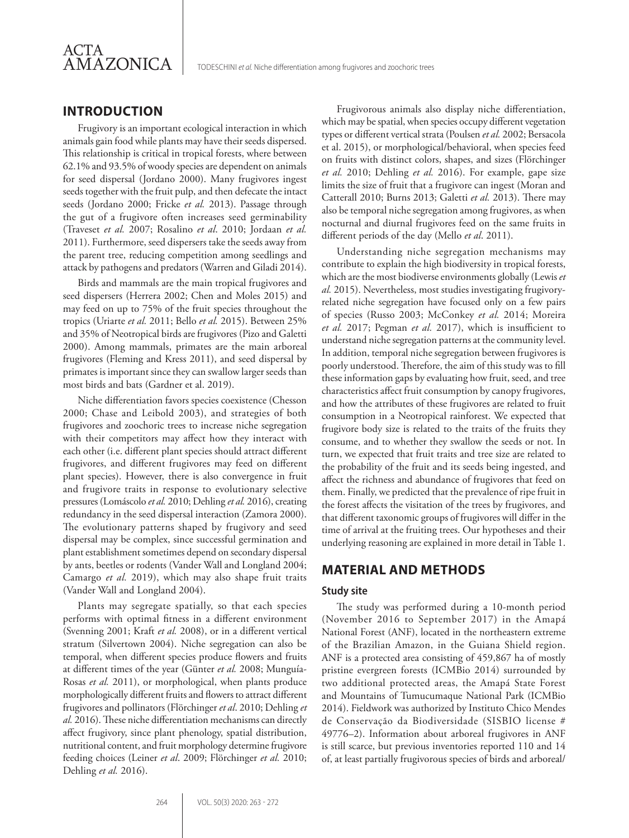

TODESCHINI *et al.* Niche differentiation among frugivores and zoochoric trees

# **INTRODUCTION**

Frugivory is an important ecological interaction in which animals gain food while plants may have their seeds dispersed. This relationship is critical in tropical forests, where between 62.1% and 93.5% of woody species are dependent on animals for seed dispersal (Jordano 2000). Many frugivores ingest seeds together with the fruit pulp, and then defecate the intact seeds (Jordano 2000; Fricke *et al.* 2013). Passage through the gut of a frugivore often increases seed germinability (Traveset *et al.* 2007; Rosalino *et al*. 2010; Jordaan *et al.* 2011). Furthermore, seed dispersers take the seeds away from the parent tree, reducing competition among seedlings and attack by pathogens and predators (Warren and Giladi 2014).

Birds and mammals are the main tropical frugivores and seed dispersers (Herrera 2002; Chen and Moles 2015) and may feed on up to 75% of the fruit species throughout the tropics (Uriarte *et al.* 2011; Bello *et al.* 2015). Between 25% and 35% of Neotropical birds are frugivores (Pizo and Galetti 2000). Among mammals, primates are the main arboreal frugivores (Fleming and Kress 2011), and seed dispersal by primates is important since they can swallow larger seeds than most birds and bats (Gardner et al. 2019).

Niche differentiation favors species coexistence (Chesson 2000; Chase and Leibold 2003), and strategies of both frugivores and zoochoric trees to increase niche segregation with their competitors may affect how they interact with each other (i.e. different plant species should attract different frugivores, and different frugivores may feed on different plant species). However, there is also convergence in fruit and frugivore traits in response to evolutionary selective pressures (Lomáscolo *et al.* 2010; Dehling *et al.* 2016), creating redundancy in the seed dispersal interaction (Zamora 2000). The evolutionary patterns shaped by frugivory and seed dispersal may be complex, since successful germination and plant establishment sometimes depend on secondary dispersal by ants, beetles or rodents (Vander Wall and Longland 2004; Camargo *et al.* 2019), which may also shape fruit traits (Vander Wall and Longland 2004).

Plants may segregate spatially, so that each species performs with optimal fitness in a different environment (Svenning 2001; Kraft *et al.* 2008), or in a different vertical stratum (Silvertown 2004). Niche segregation can also be temporal, when different species produce flowers and fruits at different times of the year (Günter *et al.* 2008; Munguía-Rosas *et al.* 2011), or morphological, when plants produce morphologically different fruits and flowers to attract different frugivores and pollinators (Flörchinger *et al*. 2010; Dehling *et al.* 2016). These niche differentiation mechanisms can directly affect frugivory, since plant phenology, spatial distribution, nutritional content, and fruit morphology determine frugivore feeding choices (Leiner *et al*. 2009; Flörchinger *et al.* 2010; Dehling *et al.* 2016).

Frugivorous animals also display niche differentiation, which may be spatial, when species occupy different vegetation types or different vertical strata (Poulsen *et al.* 2002; Bersacola et al. 2015), or morphological/behavioral, when species feed on fruits with distinct colors, shapes, and sizes (Flörchinger *et al.* 2010; Dehling *et al.* 2016). For example, gape size limits the size of fruit that a frugivore can ingest (Moran and Catterall 2010; Burns 2013; Galetti *et al.* 2013). There may also be temporal niche segregation among frugivores, as when nocturnal and diurnal frugivores feed on the same fruits in different periods of the day (Mello *et al*. 2011).

Understanding niche segregation mechanisms may contribute to explain the high biodiversity in tropical forests, which are the most biodiverse environments globally (Lewis *et al.* 2015). Nevertheless, most studies investigating frugivoryrelated niche segregation have focused only on a few pairs of species (Russo 2003; McConkey *et al.* 2014; Moreira *et al.* 2017; Pegman *et al.* 2017), which is insufficient to understand niche segregation patterns at the community level. In addition, temporal niche segregation between frugivores is poorly understood. Therefore, the aim of this study was to fill these information gaps by evaluating how fruit, seed, and tree characteristics affect fruit consumption by canopy frugivores, and how the attributes of these frugivores are related to fruit consumption in a Neotropical rainforest. We expected that frugivore body size is related to the traits of the fruits they consume, and to whether they swallow the seeds or not. In turn, we expected that fruit traits and tree size are related to the probability of the fruit and its seeds being ingested, and affect the richness and abundance of frugivores that feed on them. Finally, we predicted that the prevalence of ripe fruit in the forest affects the visitation of the trees by frugivores, and that different taxonomic groups of frugivores will differ in the time of arrival at the fruiting trees. Our hypotheses and their underlying reasoning are explained in more detail in Table 1.

# **MATERIAL AND METHODS**

### **Study site**

The study was performed during a 10-month period (November 2016 to September 2017) in the Amapá National Forest (ANF), located in the northeastern extreme of the Brazilian Amazon, in the Guiana Shield region. ANF is a protected area consisting of 459,867 ha of mostly pristine evergreen forests (ICMBio 2014) surrounded by two additional protected areas, the Amapá State Forest and Mountains of Tumucumaque National Park (ICMBio 2014). Fieldwork was authorized by Instituto Chico Mendes de Conservação da Biodiversidade (SISBIO license # 49776–2). Information about arboreal frugivores in ANF is still scarce, but previous inventories reported 110 and 14 of, at least partially frugivorous species of birds and arboreal/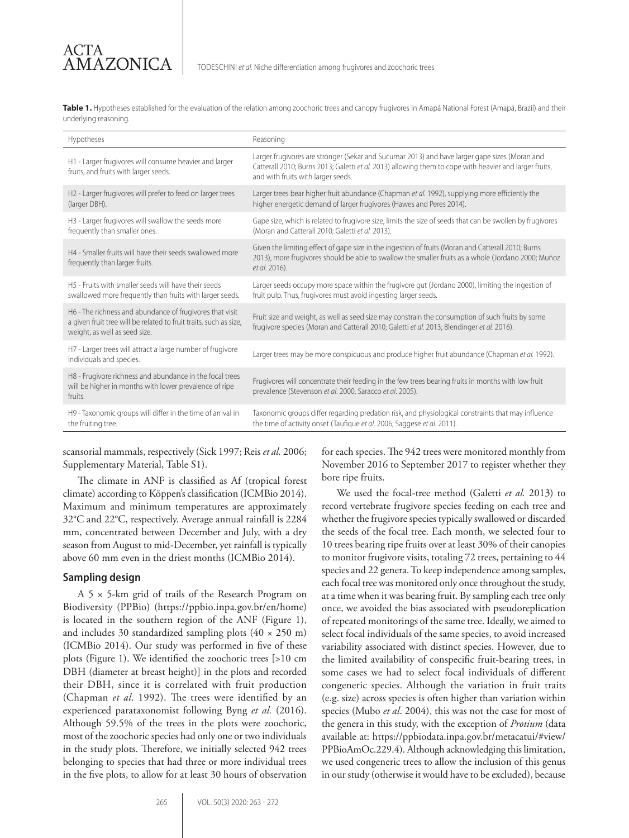Table 1. Hypotheses established for the evaluation of the relation among zoochoric trees and canopy frugivores in Amapá National Forest (Amapá, Brazil) and their underlying reasoning.

| Hypotheses                                                                                                                                                     | Reasoning                                                                                                                                                                                                                                     |
|----------------------------------------------------------------------------------------------------------------------------------------------------------------|-----------------------------------------------------------------------------------------------------------------------------------------------------------------------------------------------------------------------------------------------|
| H1 - Larger frugivores will consume heavier and larger<br>fruits, and fruits with larger seeds.                                                                | Larger frugivores are stronger (Sekar and Sucumar 2013) and have larger gape sizes (Moran and<br>Catterall 2010; Burns 2013; Galetti et al. 2013) allowing them to cope with heavier and larger fruits,<br>and with fruits with larger seeds. |
| H2 - Larger frugivores will prefer to feed on larger trees<br>(larger DBH).                                                                                    | Larger trees bear higher fruit abundance (Chapman et al. 1992), supplying more efficiently the<br>higher energetic demand of larger frugivores (Hawes and Peres 2014).                                                                        |
| H3 - Larger frugivores will swallow the seeds more<br>frequently than smaller ones.                                                                            | Gape size, which is related to frugivore size, limits the size of seeds that can be swollen by frugivores<br>(Moran and Catterall 2010; Galetti et al. 2013).                                                                                 |
| H4 - Smaller fruits will have their seeds swallowed more<br>frequently than larger fruits.                                                                     | Given the limiting effect of gape size in the ingestion of fruits (Moran and Catterall 2010; Burns<br>2013), more frugivores should be able to swallow the smaller fruits as a whole (Jordano 2000; Muñoz<br>et al. 2016).                    |
| H5 - Fruits with smaller seeds will have their seeds<br>swallowed more frequently than fruits with larger seeds.                                               | Larger seeds occupy more space within the frugivore gut (Jordano 2000), limiting the ingestion of<br>fruit pulp. Thus, frugivores must avoid ingesting larger seeds.                                                                          |
| H6 - The richness and abundance of frugivores that visit<br>a given fruit tree will be related to fruit traits, such as size,<br>weight, as well as seed size. | Fruit size and weight, as well as seed size may constrain the consumption of such fruits by some<br>frugivore species (Moran and Catterall 2010; Galetti et al. 2013; Blendinger et al. 2016).                                                |
| H7 - Larger trees will attract a large number of frugivore<br>individuals and species.                                                                         | Larger trees may be more conspicuous and produce higher fruit abundance (Chapman et al. 1992).                                                                                                                                                |
| H8 - Frugivore richness and abundance in the focal trees<br>will be higher in months with lower prevalence of ripe<br>fruits.                                  | Frugivores will concentrate their feeding in the few trees bearing fruits in months with low fruit<br>prevalence (Stevenson et al. 2000, Saracco et al. 2005).                                                                                |
| H9 - Taxonomic groups will differ in the time of arrival in<br>the fruiting tree.                                                                              | Taxonomic groups differ regarding predation risk, and physiological constraints that may influence<br>the time of activity onset (Taufique et al. 2006; Saggese et al. 2011).                                                                 |

scansorial mammals, respectively (Sick 1997; Reis *et al.* 2006; Supplementary Material, Table S1).

The climate in ANF is classified as Af (tropical forest climate) according to Köppen's classification (ICMBio 2014). Maximum and minimum temperatures are approximately 32°C and 22°C, respectively. Average annual rainfall is 2284 mm, concentrated between December and July, with a dry season from August to mid-December, yet rainfall is typically above 60 mm even in the driest months (ICMBio 2014).

#### **Sampling design**

A 5 × 5-km grid of trails of the Research Program on Biodiversity (PPBio) (https://ppbio.inpa.gov.br/en/home) is located in the southern region of the ANF (Figure 1), and includes 30 standardized sampling plots  $(40 \times 250 \text{ m})$ (ICMBio 2014). Our study was performed in five of these plots (Figure 1). We identified the zoochoric trees [>10 cm DBH (diameter at breast height)] in the plots and recorded their DBH, since it is correlated with fruit production (Chapman *et al*. 1992). The trees were identified by an experienced parataxonomist following Byng *et al.* (2016). Although 59.5% of the trees in the plots were zoochoric, most of the zoochoric species had only one or two individuals in the study plots. Therefore, we initially selected 942 trees belonging to species that had three or more individual trees in the five plots, to allow for at least 30 hours of observation

for each species. The 942 trees were monitored monthly from November 2016 to September 2017 to register whether they bore ripe fruits.

We used the focal-tree method (Galetti *et al.* 2013) to record vertebrate frugivore species feeding on each tree and whether the frugivore species typically swallowed or discarded the seeds of the focal tree. Each month, we selected four to 10 trees bearing ripe fruits over at least 30% of their canopies to monitor frugivore visits, totaling 72 trees, pertaining to 44 species and 22 genera. To keep independence among samples, each focal tree was monitored only once throughout the study, at a time when it was bearing fruit. By sampling each tree only once, we avoided the bias associated with pseudoreplication of repeated monitorings of the same tree. Ideally, we aimed to select focal individuals of the same species, to avoid increased variability associated with distinct species. However, due to the limited availability of conspecific fruit-bearing trees, in some cases we had to select focal individuals of different congeneric species. Although the variation in fruit traits (e.g. size) across species is often higher than variation within species (Mubo *et al*. 2004), this was not the case for most of the genera in this study, with the exception of *Protium* (data available at: https://ppbiodata.inpa.gov.br/metacatui/#view/ PPBioAmOc.229.4). Although acknowledging this limitation, we used congeneric trees to allow the inclusion of this genus in our study (otherwise it would have to be excluded), because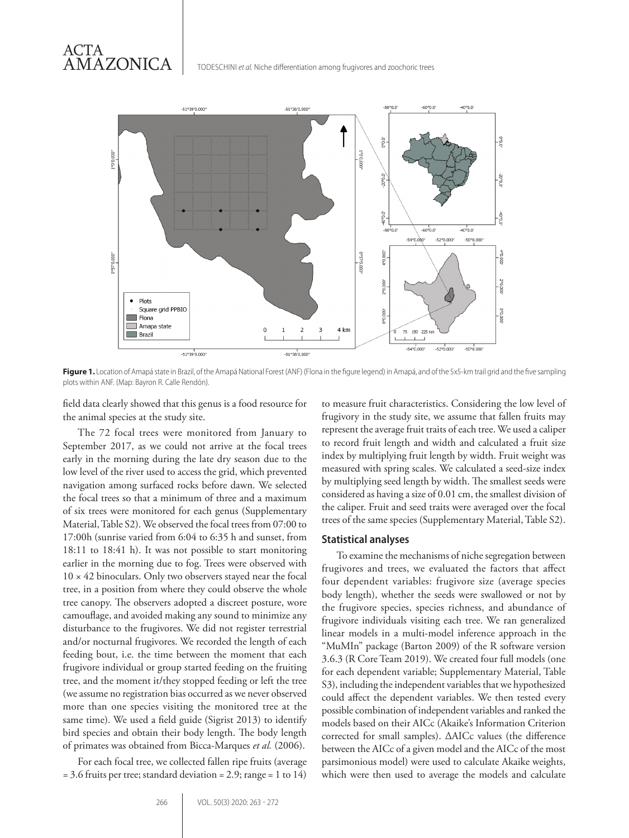TODESCHINI *et al.* Niche differentiation among frugivores and zoochoric trees



**Figure 1.** Location of Amapá state in Brazil, of the Amapá National Forest (ANF) (Flona in the figure legend) in Amapá, and of the 5x5-km trail grid and the five sampling plots within ANF. (Map: Bayron R. Calle Rendón).

field data clearly showed that this genus is a food resource for the animal species at the study site.

The 72 focal trees were monitored from January to September 2017, as we could not arrive at the focal trees early in the morning during the late dry season due to the low level of the river used to access the grid, which prevented navigation among surfaced rocks before dawn. We selected the focal trees so that a minimum of three and a maximum of six trees were monitored for each genus (Supplementary Material, Table S2). We observed the focal trees from 07:00 to 17:00h (sunrise varied from 6:04 to 6:35 h and sunset, from 18:11 to 18:41 h). It was not possible to start monitoring earlier in the morning due to fog. Trees were observed with  $10 \times 42$  binoculars. Only two observers stayed near the focal tree, in a position from where they could observe the whole tree canopy. The observers adopted a discreet posture, wore camouflage, and avoided making any sound to minimize any disturbance to the frugivores. We did not register terrestrial and/or nocturnal frugivores. We recorded the length of each feeding bout, i.e. the time between the moment that each frugivore individual or group started feeding on the fruiting tree, and the moment it/they stopped feeding or left the tree (we assume no registration bias occurred as we never observed more than one species visiting the monitored tree at the same time). We used a field guide (Sigrist 2013) to identify bird species and obtain their body length. The body length of primates was obtained from Bicca-Marques *et al.* (2006).

For each focal tree, we collected fallen ripe fruits (average = 3.6 fruits per tree; standard deviation = 2.9; range = 1 to 14)

to measure fruit characteristics. Considering the low level of frugivory in the study site, we assume that fallen fruits may represent the average fruit traits of each tree. We used a caliper to record fruit length and width and calculated a fruit size index by multiplying fruit length by width. Fruit weight was measured with spring scales. We calculated a seed-size index by multiplying seed length by width. The smallest seeds were considered as having a size of 0.01 cm, the smallest division of the caliper. Fruit and seed traits were averaged over the focal trees of the same species (Supplementary Material, Table S2).

#### **Statistical analyses**

To examine the mechanisms of niche segregation between frugivores and trees, we evaluated the factors that affect four dependent variables: frugivore size (average species body length), whether the seeds were swallowed or not by the frugivore species, species richness, and abundance of frugivore individuals visiting each tree. We ran generalized linear models in a multi-model inference approach in the "MuMIn" package (Barton 2009) of the R software version 3.6.3 (R Core Team 2019). We created four full models (one for each dependent variable; Supplementary Material, Table S3), including the independent variables that we hypothesized could affect the dependent variables. We then tested every possible combination of independent variables and ranked the models based on their AICc (Akaike's Information Criterion corrected for small samples). ΔAICc values (the difference between the AICc of a given model and the AICc of the most parsimonious model) were used to calculate Akaike weights, which were then used to average the models and calculate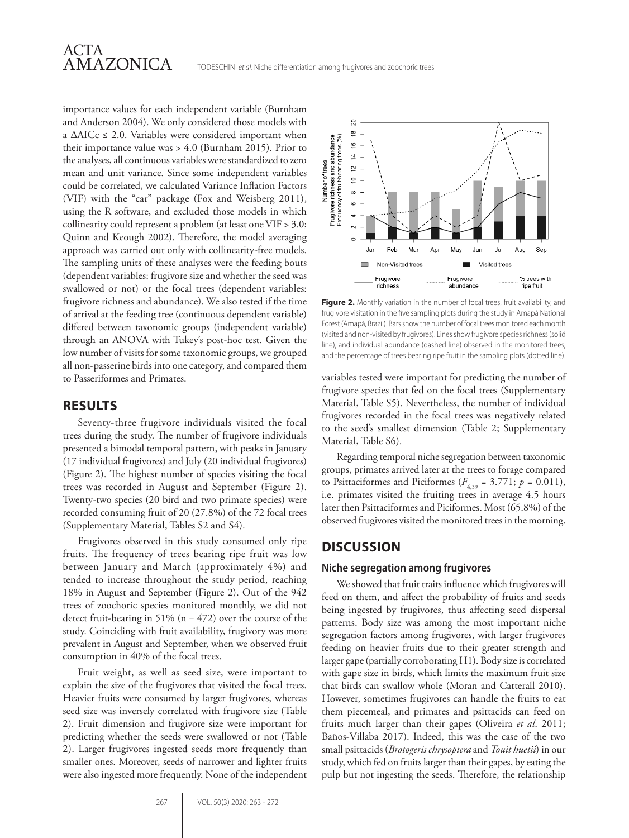

importance values for each independent variable (Burnham and Anderson 2004). We only considered those models with a  $\triangle$ AICc  $\leq$  2.0. Variables were considered important when their importance value was > 4.0 (Burnham 2015). Prior to the analyses, all continuous variables were standardized to zero mean and unit variance. Since some independent variables could be correlated, we calculated Variance Inflation Factors (VIF) with the "car" package (Fox and Weisberg 2011), using the R software, and excluded those models in which collinearity could represent a problem (at least one VIF > 3.0; Quinn and Keough 2002). Therefore, the model averaging approach was carried out only with collinearity-free models. The sampling units of these analyses were the feeding bouts (dependent variables: frugivore size and whether the seed was swallowed or not) or the focal trees (dependent variables: frugivore richness and abundance). We also tested if the time of arrival at the feeding tree (continuous dependent variable) differed between taxonomic groups (independent variable) through an ANOVA with Tukey's post-hoc test. Given the low number of visits for some taxonomic groups, we grouped all non-passerine birds into one category, and compared them to Passeriformes and Primates.

## **RESULTS**

Seventy-three frugivore individuals visited the focal trees during the study. The number of frugivore individuals presented a bimodal temporal pattern, with peaks in January (17 individual frugivores) and July (20 individual frugivores) (Figure 2). The highest number of species visiting the focal trees was recorded in August and September (Figure 2). Twenty-two species (20 bird and two primate species) were recorded consuming fruit of 20 (27.8%) of the 72 focal trees (Supplementary Material, Tables S2 and S4).

Frugivores observed in this study consumed only ripe fruits. The frequency of trees bearing ripe fruit was low between January and March (approximately 4%) and tended to increase throughout the study period, reaching 18% in August and September (Figure 2). Out of the 942 trees of zoochoric species monitored monthly, we did not detect fruit-bearing in 51% ( $n = 472$ ) over the course of the study. Coinciding with fruit availability, frugivory was more prevalent in August and September, when we observed fruit consumption in 40% of the focal trees.

Fruit weight, as well as seed size, were important to explain the size of the frugivores that visited the focal trees. Heavier fruits were consumed by larger frugivores, whereas seed size was inversely correlated with frugivore size (Table 2). Fruit dimension and frugivore size were important for predicting whether the seeds were swallowed or not (Table 2). Larger frugivores ingested seeds more frequently than smaller ones. Moreover, seeds of narrower and lighter fruits were also ingested more frequently. None of the independent



Figure 2. Monthly variation in the number of focal trees, fruit availability, and frugivore visitation in the five sampling plots during the study in Amapá National Forest (Amapá, Brazil). Bars show the number of focal trees monitored each month (visited and non-visited by frugivores). Lines show frugivore species richness (solid line), and individual abundance (dashed line) observed in the monitored trees, and the percentage of trees bearing ripe fruit in the sampling plots (dotted line).

variables tested were important for predicting the number of frugivore species that fed on the focal trees (Supplementary Material, Table S5). Nevertheless, the number of individual frugivores recorded in the focal trees was negatively related to the seed's smallest dimension (Table 2; Supplementary Material, Table S6).

Regarding temporal niche segregation between taxonomic groups, primates arrived later at the trees to forage compared to Psittaciformes and Piciformes ( $F_{4,39} = 3.771$ ;  $p = 0.011$ ), i.e. primates visited the fruiting trees in average 4.5 hours later then Psittaciformes and Piciformes. Most (65.8%) of the observed frugivores visited the monitored trees in the morning.

# **DISCUSSION**

#### **Niche segregation among frugivores**

We showed that fruit traits influence which frugivores will feed on them, and affect the probability of fruits and seeds being ingested by frugivores, thus affecting seed dispersal patterns. Body size was among the most important niche segregation factors among frugivores, with larger frugivores feeding on heavier fruits due to their greater strength and larger gape (partially corroborating H1). Body size is correlated with gape size in birds, which limits the maximum fruit size that birds can swallow whole (Moran and Catterall 2010). However, sometimes frugivores can handle the fruits to eat them piecemeal, and primates and psittacids can feed on fruits much larger than their gapes (Oliveira *et al*. 2011; Baños-Villaba 2017). Indeed, this was the case of the two small psittacids (*Brotogeris chrysoptera* and *Touit huetii*) in our study, which fed on fruits larger than their gapes, by eating the pulp but not ingesting the seeds. Therefore, the relationship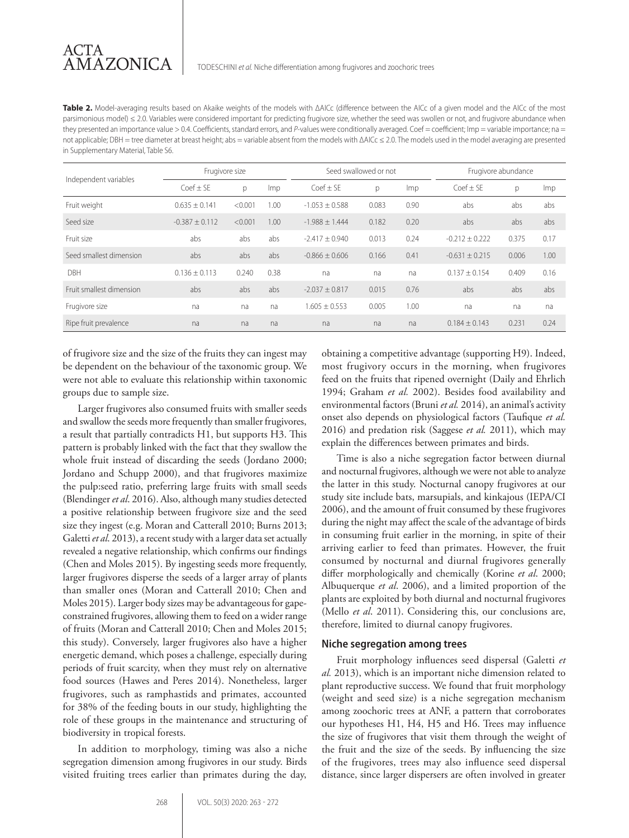**Table 2.** Model-averaging results based on Akaike weights of the models with ΔAICc (difference between the AICc of a given model and the AICc of the most parsimonious model) ≤ 2.0. Variables were considered important for predicting frugivore size, whether the seed was swollen or not, and frugivore abundance when they presented an importance value > 0.4. Coefficients, standard errors, and P-values were conditionally averaged. Coef = coefficient; Imp = variable importance; na = not applicable; DBH = tree diameter at breast height; abs = variable absent from the models with ΔAICc ≤ 2.0. The models used in the model averaging are presented in Supplementary Material, Table S6.

|                          | Frugivore size    |         |            | Seed swallowed or not |       |            | Frugivore abundance |       |            |
|--------------------------|-------------------|---------|------------|-----------------------|-------|------------|---------------------|-------|------------|
| Independent variables    | $Coef \pm SE$     | p       | <i>Imp</i> | $C$ oef + SF          | p     | <i>Imp</i> | $C$ oef + SF        | р     | <i>Imp</i> |
| Fruit weight             | $0.635 \pm 0.141$ | < 0.001 | 1.00       | $-1.053 \pm 0.588$    | 0.083 | 0.90       | abs                 | abs   | abs        |
| Seed size                | $-0.387 + 0.112$  | < 0.001 | 1.00       | $-1.988 + 1.444$      | 0.182 | 0.20       | abs                 | abs   | abs        |
| Fruit size               | abs               | abs     | abs        | $-2.417 + 0.940$      | 0.013 | 0.24       | $-0.212 + 0.222$    | 0.375 | 0.17       |
| Seed smallest dimension  | abs               | abs     | abs        | $-0.866 + 0.606$      | 0.166 | 0.41       | $-0.631 + 0.215$    | 0.006 | 1.00       |
| DBH                      | $0.136 \pm 0.113$ | 0.240   | 0.38       | na                    | na    | na         | $0.137 \pm 0.154$   | 0.409 | 0.16       |
| Fruit smallest dimension | abs               | abs     | abs        | $-2.037 + 0.817$      | 0.015 | 0.76       | abs                 | abs   | abs        |
| Frugivore size           | na                | na      | na         | $1.605 \pm 0.553$     | 0.005 | 1.00       | na                  | na    | na         |
| Ripe fruit prevalence    | na                | na      | na         | na                    | na    | na         | $0.184 \pm 0.143$   | 0.231 | 0.24       |

of frugivore size and the size of the fruits they can ingest may be dependent on the behaviour of the taxonomic group. We were not able to evaluate this relationship within taxonomic groups due to sample size.

Larger frugivores also consumed fruits with smaller seeds and swallow the seeds more frequently than smaller frugivores, a result that partially contradicts H1, but supports H3. This pattern is probably linked with the fact that they swallow the whole fruit instead of discarding the seeds (Jordano 2000; Jordano and Schupp 2000), and that frugivores maximize the pulp:seed ratio, preferring large fruits with small seeds (Blendinger *et al*. 2016). Also, although many studies detected a positive relationship between frugivore size and the seed size they ingest (e.g. Moran and Catterall 2010; Burns 2013; Galetti *et al*. 2013), a recent study with a larger data set actually revealed a negative relationship, which confirms our findings (Chen and Moles 2015). By ingesting seeds more frequently, larger frugivores disperse the seeds of a larger array of plants than smaller ones (Moran and Catterall 2010; Chen and Moles 2015). Larger body sizes may be advantageous for gapeconstrained frugivores, allowing them to feed on a wider range of fruits (Moran and Catterall 2010; Chen and Moles 2015; this study). Conversely, larger frugivores also have a higher energetic demand, which poses a challenge, especially during periods of fruit scarcity, when they must rely on alternative food sources (Hawes and Peres 2014). Nonetheless, larger frugivores, such as ramphastids and primates, accounted for 38% of the feeding bouts in our study, highlighting the role of these groups in the maintenance and structuring of biodiversity in tropical forests.

In addition to morphology, timing was also a niche segregation dimension among frugivores in our study. Birds visited fruiting trees earlier than primates during the day, obtaining a competitive advantage (supporting H9). Indeed, most frugivory occurs in the morning, when frugivores feed on the fruits that ripened overnight (Daily and Ehrlich 1994; Graham *et al.* 2002). Besides food availability and environmental factors (Bruni *et al.* 2014), an animal's activity onset also depends on physiological factors (Taufique *et al.* 2016) and predation risk (Saggese *et al.* 2011), which may explain the differences between primates and birds.

Time is also a niche segregation factor between diurnal and nocturnal frugivores, although we were not able to analyze the latter in this study. Nocturnal canopy frugivores at our study site include bats, marsupials, and kinkajous (IEPA/CI 2006), and the amount of fruit consumed by these frugivores during the night may affect the scale of the advantage of birds in consuming fruit earlier in the morning, in spite of their arriving earlier to feed than primates. However, the fruit consumed by nocturnal and diurnal frugivores generally differ morphologically and chemically (Korine *et al*. 2000; Albuquerque *et al*. 2006), and a limited proportion of the plants are exploited by both diurnal and nocturnal frugivores (Mello *et al*. 2011). Considering this, our conclusions are, therefore, limited to diurnal canopy frugivores.

#### **Niche segregation among trees**

Fruit morphology influences seed dispersal (Galetti *et al.* 2013), which is an important niche dimension related to plant reproductive success. We found that fruit morphology (weight and seed size) is a niche segregation mechanism among zoochoric trees at ANF, a pattern that corroborates our hypotheses H1, H4, H5 and H6. Trees may influence the size of frugivores that visit them through the weight of the fruit and the size of the seeds. By influencing the size of the frugivores, trees may also influence seed dispersal distance, since larger dispersers are often involved in greater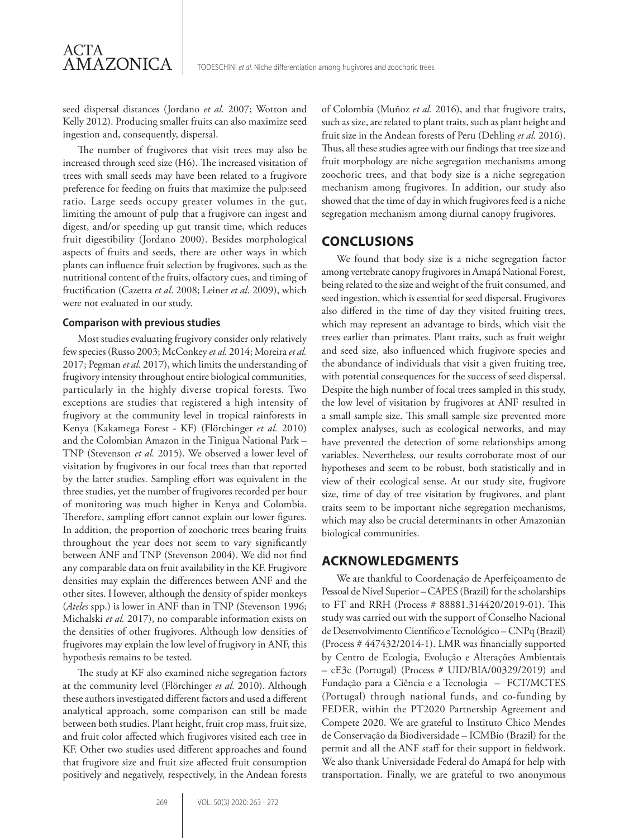seed dispersal distances (Jordano *et al.* 2007; Wotton and Kelly 2012). Producing smaller fruits can also maximize seed ingestion and, consequently, dispersal.

The number of frugivores that visit trees may also be increased through seed size (H6). The increased visitation of trees with small seeds may have been related to a frugivore preference for feeding on fruits that maximize the pulp:seed ratio. Large seeds occupy greater volumes in the gut, limiting the amount of pulp that a frugivore can ingest and digest, and/or speeding up gut transit time, which reduces fruit digestibility (Jordano 2000). Besides morphological aspects of fruits and seeds, there are other ways in which plants can influence fruit selection by frugivores, such as the nutritional content of the fruits, olfactory cues, and timing of fructification (Cazetta *et al*. 2008; Leiner *et al*. 2009), which were not evaluated in our study.

#### **Comparison with previous studies**

ACTA

AMAZONICA

Most studies evaluating frugivory consider only relatively few species (Russo 2003; McConkey *et al.* 2014; Moreira *et al.* 2017; Pegman *et al.* 2017), which limits the understanding of frugivory intensity throughout entire biological communities, particularly in the highly diverse tropical forests. Two exceptions are studies that registered a high intensity of frugivory at the community level in tropical rainforests in Kenya (Kakamega Forest - KF) (Flörchinger *et al.* 2010) and the Colombian Amazon in the Tinigua National Park – TNP (Stevenson *et al.* 2015). We observed a lower level of visitation by frugivores in our focal trees than that reported by the latter studies. Sampling effort was equivalent in the three studies, yet the number of frugivores recorded per hour of monitoring was much higher in Kenya and Colombia. Therefore, sampling effort cannot explain our lower figures. In addition, the proportion of zoochoric trees bearing fruits throughout the year does not seem to vary significantly between ANF and TNP (Stevenson 2004). We did not find any comparable data on fruit availability in the KF. Frugivore densities may explain the differences between ANF and the other sites. However, although the density of spider monkeys (*Ateles* spp.) is lower in ANF than in TNP (Stevenson 1996; Michalski *et al.* 2017), no comparable information exists on the densities of other frugivores. Although low densities of frugivores may explain the low level of frugivory in ANF, this hypothesis remains to be tested.

The study at KF also examined niche segregation factors at the community level (Flörchinger *et al.* 2010). Although these authors investigated different factors and used a different analytical approach, some comparison can still be made between both studies. Plant height, fruit crop mass, fruit size, and fruit color affected which frugivores visited each tree in KF. Other two studies used different approaches and found that frugivore size and fruit size affected fruit consumption positively and negatively, respectively, in the Andean forests of Colombia (Muñoz *et al*. 2016), and that frugivore traits, such as size, are related to plant traits, such as plant height and fruit size in the Andean forests of Peru (Dehling *et al.* 2016). Thus, all these studies agree with our findings that tree size and fruit morphology are niche segregation mechanisms among zoochoric trees, and that body size is a niche segregation mechanism among frugivores. In addition, our study also showed that the time of day in which frugivores feed is a niche segregation mechanism among diurnal canopy frugivores.

## **CONCLUSIONS**

We found that body size is a niche segregation factor among vertebrate canopy frugivores in Amapá National Forest, being related to the size and weight of the fruit consumed, and seed ingestion, which is essential for seed dispersal. Frugivores also differed in the time of day they visited fruiting trees, which may represent an advantage to birds, which visit the trees earlier than primates. Plant traits, such as fruit weight and seed size, also influenced which frugivore species and the abundance of individuals that visit a given fruiting tree, with potential consequences for the success of seed dispersal. Despite the high number of focal trees sampled in this study, the low level of visitation by frugivores at ANF resulted in a small sample size. This small sample size prevented more complex analyses, such as ecological networks, and may have prevented the detection of some relationships among variables. Nevertheless, our results corroborate most of our hypotheses and seem to be robust, both statistically and in view of their ecological sense. At our study site, frugivore size, time of day of tree visitation by frugivores, and plant traits seem to be important niche segregation mechanisms, which may also be crucial determinants in other Amazonian biological communities.

### **ACKNOWLEDGMENTS**

We are thankful to Coordenação de Aperfeiçoamento de Pessoal de Nível Superior – CAPES (Brazil) for the scholarships to FT and RRH (Process # 88881.314420/2019-01). This study was carried out with the support of Conselho Nacional de Desenvolvimento Científico e Tecnológico – CNPq (Brazil) (Process # 447432/2014-1). LMR was financially supported by Centro de Ecologia, Evolução e Alterações Ambientais – cE3c (Portugal) (Process # UID/BIA/00329/2019) and Fundação para a Ciência e a Tecnologia – FCT/MCTES (Portugal) through national funds, and co-funding by FEDER, within the PT2020 Partnership Agreement and Compete 2020. We are grateful to Instituto Chico Mendes de Conservação da Biodiversidade – ICMBio (Brazil) for the permit and all the ANF staff for their support in fieldwork. We also thank Universidade Federal do Amapá for help with transportation. Finally, we are grateful to two anonymous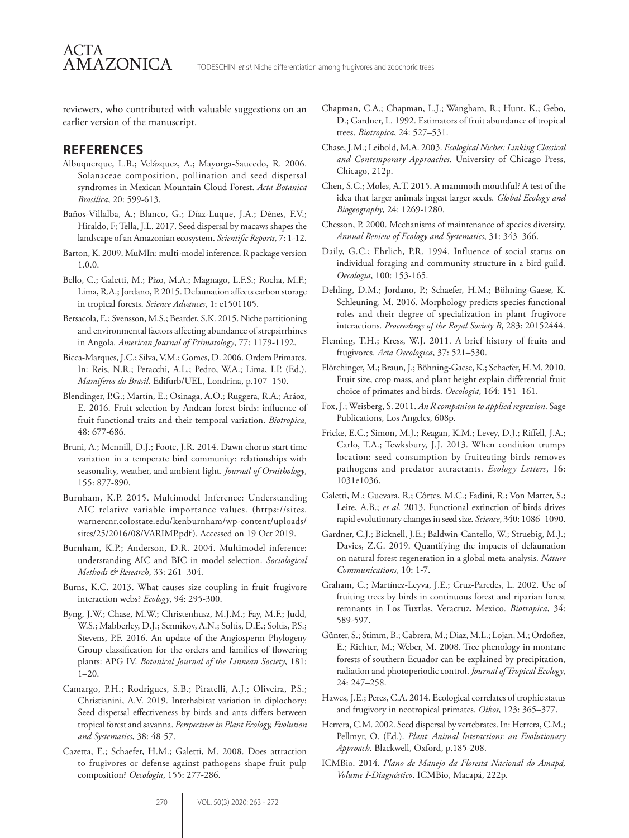reviewers, who contributed with valuable suggestions on an earlier version of the manuscript.

# **REFERENCES**

**AMAZONICA** 

ACTA

- Albuquerque, L.B.; Velázquez, A.; Mayorga-Saucedo, R. 2006. Solanaceae composition, pollination and seed dispersal syndromes in Mexican Mountain Cloud Forest. *Acta Botanica Brasilica*, 20: 599-613.
- Baños-Villalba, A.; Blanco, G.; Díaz-Luque, J.A.; Dénes, F.V.; Hiraldo, F; Tella, J.L. 2017. Seed dispersal by macaws shapes the landscape of an Amazonian ecosystem. *Scientific Reports*, 7: 1-12.
- Barton, K. 2009. MuMIn: multi-model inference. R package version 1.0.0.
- Bello, C.; Galetti, M.; Pizo, M.A.; Magnago, L.F.S.; Rocha, M.F.; Lima, R.A.; Jordano, P. 2015. Defaunation affects carbon storage in tropical forests. *Science Advances*, 1: e1501105.
- Bersacola, E.; Svensson, M.S.; Bearder, S.K. 2015. Niche partitioning and environmental factors affecting abundance of strepsirrhines in Angola. *American Journal of Primatology*, 77: 1179-1192.
- Bicca-Marques, J.C.; Silva, V.M.; Gomes, D. 2006. Ordem Primates. In: Reis, N.R.; Peracchi, A.L.; Pedro, W.A.; Lima, I.P. (Ed.). *Mamíferos do Brasil*. Edifurb/UEL, Londrina, p.107–150.
- Blendinger, P.G.; Martín, E.; Osinaga, A.O.; Ruggera, R.A.; Aráoz, E. 2016. Fruit selection by Andean forest birds: influence of fruit functional traits and their temporal variation. *Biotropica*, 48: 677-686.
- Bruni, A.; Mennill, D.J.; Foote, J.R. 2014. Dawn chorus start time variation in a temperate bird community: relationships with seasonality, weather, and ambient light. *Journal of Ornithology*, 155: 877-890.
- Burnham, K.P. 2015. Multimodel Inference: Understanding AIC relative variable importance values. (https://sites. warnercnr.colostate.edu/kenburnham/wp-content/uploads/ sites/25/2016/08/VARIMP.pdf). Accessed on 19 Oct 2019.
- Burnham, K.P.; Anderson, D.R. 2004. Multimodel inference: understanding AIC and BIC in model selection. *Sociological Methods & Research*, 33: 261–304.
- Burns, K.C. 2013. What causes size coupling in fruit–frugivore interaction webs? *Ecology*, 94: 295-300.
- Byng, J.W.; Chase, M.W.; Christenhusz, M.J.M.; Fay, M.F.; Judd, W.S.; Mabberley, D.J.; Sennikov, A.N.; Soltis, D.E.; Soltis, P.S.; Stevens, P.F. 2016. An update of the Angiosperm Phylogeny Group classification for the orders and families of flowering plants: APG IV. *Botanical Journal of the Linnean Society*, 181: 1–20.
- Camargo, P.H.; Rodrigues, S.B.; Piratelli, A.J.; Oliveira, P.S.; Christianini, A.V. 2019. Interhabitat variation in diplochory: Seed dispersal effectiveness by birds and ants differs between tropical forest and savanna. *Perspectives in Plant Ecology, Evolution and Systematics*, 38: 48-57.
- Cazetta, E.; Schaefer, H.M.; Galetti, M. 2008. Does attraction to frugivores or defense against pathogens shape fruit pulp composition? *Oecologia*, 155: 277-286.
- Chapman, C.A.; Chapman, L.J.; Wangham, R.; Hunt, K.; Gebo, D.; Gardner, L. 1992. Estimators of fruit abundance of tropical trees. *Biotropica*, 24: 527–531.
- Chase, J.M.; Leibold, M.A. 2003. *Ecological Niches: Linking Classical and Contemporary Approaches*. University of Chicago Press, Chicago, 212p.
- Chen, S.C.; Moles, A.T. 2015. A mammoth mouthful? A test of the idea that larger animals ingest larger seeds. *Global Ecology and Biogeography*, 24: 1269-1280.
- Chesson, P. 2000. Mechanisms of maintenance of species diversity. *Annual Review of Ecology and Systematics*, 31: 343–366.
- Daily, G.C.; Ehrlich, P.R. 1994. Influence of social status on individual foraging and community structure in a bird guild. *Oecologia*, 100: 153-165.
- Dehling, D.M.; Jordano, P.; Schaefer, H.M.; Böhning-Gaese, K. Schleuning, M. 2016. Morphology predicts species functional roles and their degree of specialization in plant–frugivore interactions. *Proceedings of the Royal Society B*, 283: 20152444.
- Fleming, T.H.; Kress, W.J. 2011. A brief history of fruits and frugivores. *Acta Oecologica*, 37: 521–530.
- Flörchinger, M.; Braun, J.; Böhning-Gaese, K.; Schaefer, H.M. 2010. Fruit size, crop mass, and plant height explain differential fruit choice of primates and birds. *Oecologia*, 164: 151–161.
- Fox, J.; Weisberg, S. 2011. *An R companion to applied regression*. Sage Publications, Los Angeles, 608p.
- Fricke, E.C.; Simon, M.J.; Reagan, K.M.; Levey, D.J.; Riffell, J.A.; Carlo, T.A.; Tewksbury, J.J. 2013. When condition trumps location: seed consumption by fruiteating birds removes pathogens and predator attractants. *Ecology Letters*, 16: 1031e1036.
- Galetti, M.; Guevara, R.; Côrtes, M.C.; Fadini, R.; Von Matter, S.; Leite, A.B.; *et al.* 2013. Functional extinction of birds drives rapid evolutionary changes in seed size. *Science*, 340: 1086–1090.
- Gardner, C.J.; Bicknell, J.E.; Baldwin-Cantello, W.; Struebig, M.J.; Davies, Z.G. 2019. Quantifying the impacts of defaunation on natural forest regeneration in a global meta-analysis. *Nature Communications*, 10: 1-7.
- Graham, C.; Martínez-Leyva, J.E.; Cruz-Paredes, L. 2002. Use of fruiting trees by birds in continuous forest and riparian forest remnants in Los Tuxtlas, Veracruz, Mexico. *Biotropica*, 34: 589-597.
- Günter, S.; Stimm, B.; Cabrera, M.; Diaz, M.L.; Lojan, M.; Ordoñez, E.; Richter, M.; Weber, M. 2008. Tree phenology in montane forests of southern Ecuador can be explained by precipitation, radiation and photoperiodic control. *Journal of Tropical Ecology*, 24: 247–258.
- Hawes, J.E.; Peres, C.A. 2014. Ecological correlates of trophic status and frugivory in neotropical primates. *Oikos*, 123: 365–377.
- Herrera, C.M. 2002. Seed dispersal by vertebrates. In: Herrera, C.M.; Pellmyr, O. (Ed.). *Plant–Animal Interactions: an Evolutionary Approach*. Blackwell, Oxford, p.185-208.
- ICMBio. 2014. *Plano de Manejo da Floresta Nacional do Amapá, Volume I-Diagnóstico*. ICMBio, Macapá, 222p.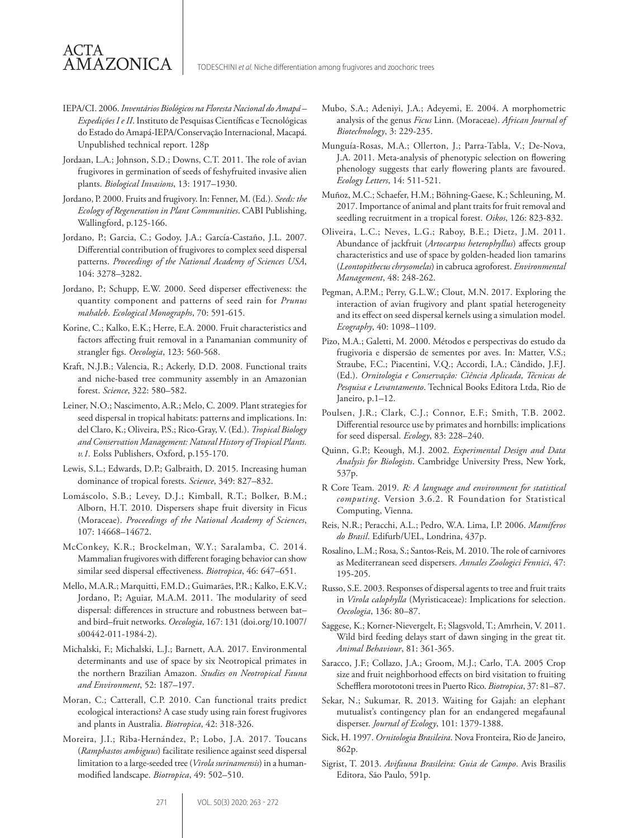IEPA/CI. 2006. *Inventários Biológicos na Floresta Nacional do Amapá – Expedições I e II*. Instituto de Pesquisas Científicas e Tecnológicas do Estado do Amapá-IEPA/Conservação Internacional, Macapá. Unpublished technical report. 128p

ACTA

AMAZONICA

- Jordaan, L.A.; Johnson, S.D.; Downs, C.T. 2011. The role of avian frugivores in germination of seeds of feshyfruited invasive alien plants. *Biological Invasions*, 13: 1917–1930.
- Jordano, P. 2000. Fruits and frugivory. In: Fenner, M. (Ed.). *Seeds: the Ecology of Regeneration in Plant Communities*. CABI Publishing, Wallingford, p.125-166.
- Jordano, P.; Garcia, C.; Godoy, J.A.; García-Castaño, J.L. 2007. Differential contribution of frugivores to complex seed dispersal patterns. *Proceedings of the National Academy of Sciences USA*, 104: 3278–3282.
- Jordano, P.; Schupp, E.W. 2000. Seed disperser effectiveness: the quantity component and patterns of seed rain for *Prunus mahaleb*. *Ecological Monographs*, 70: 591-615.
- Korine, C.; Kalko, E.K.; Herre, E.A. 2000. Fruit characteristics and factors affecting fruit removal in a Panamanian community of strangler figs. *Oecologia*, 123: 560-568.
- Kraft, N.J.B.; Valencia, R.; Ackerly, D.D. 2008. Functional traits and niche-based tree community assembly in an Amazonian forest. *Science*, 322: 580–582.
- Leiner, N.O.; Nascimento, A.R.; Melo, C. 2009. Plant strategies for seed dispersal in tropical habitats: patterns and implications. In: del Claro, K.; Oliveira, P.S.; Rico-Gray, V. (Ed.). *Tropical Biology and Conservation Management: Natural History of Tropical Plants. v.1.* Eolss Publishers, Oxford, p.155-170.
- Lewis, S.L.; Edwards, D.P.; Galbraith, D. 2015. Increasing human dominance of tropical forests. *Science*, 349: 827–832.
- Lomáscolo, S.B.; Levey, D.J.; Kimball, R.T.; Bolker, B.M.; Alborn, H.T. 2010. Dispersers shape fruit diversity in Ficus (Moraceae). *Proceedings of the National Academy of Sciences*, 107: 14668–14672.
- McConkey, K.R.; Brockelman, W.Y.; Saralamba, C. 2014. Mammalian frugivores with different foraging behavior can show similar seed dispersal effectiveness. *Biotropica*, 46: 647–651.
- Mello, M.A.R.; Marquitti, F.M.D.; Guimarães, P.R.; Kalko, E.K.V.; Jordano, P.; Aguiar, M.A.M. 2011. The modularity of seed dispersal: differences in structure and robustness between bat– and bird–fruit networks. *Oecologia*, 167: 131 (doi.org/10.1007/ s00442-011-1984-2).
- Michalski, F.; Michalski, L.J.; Barnett, A.A. 2017. Environmental determinants and use of space by six Neotropical primates in the northern Brazilian Amazon. *Studies on Neotropical Fauna and Environment*, 52: 187–197.
- Moran, C.; Catterall, C.P. 2010. Can functional traits predict ecological interactions? A case study using rain forest frugivores and plants in Australia. *Biotropica*, 42: 318-326.
- Moreira, J.I.; Riba-Hernández, P.; Lobo, J.A. 2017. Toucans (*Ramphastos ambiguus*) facilitate resilience against seed dispersal limitation to a large-seeded tree (*Virola surinamensis*) in a humanmodified landscape. *Biotropica*, 49: 502–510.
- Mubo, S.A.; Adeniyi, J.A.; Adeyemi, E. 2004. A morphometric analysis of the genus *Ficus* Linn. (Moraceae). *African Journal of Biotechnology*, 3: 229-235.
- Munguía-Rosas, M.A.; Ollerton, J.; Parra-Tabla, V.; De-Nova, J.A. 2011. Meta-analysis of phenotypic selection on flowering phenology suggests that early flowering plants are favoured. *Ecology Letters*, 14: 511-521.
- Muñoz, M.C.; Schaefer, H.M.; Böhning-Gaese, K.; Schleuning, M. 2017. Importance of animal and plant traits for fruit removal and seedling recruitment in a tropical forest. *Oikos*, 126: 823-832.
- Oliveira, L.C.; Neves, L.G.; Raboy, B.E.; Dietz, J.M. 2011. Abundance of jackfruit (*Artocarpus heterophyllus*) affects group characteristics and use of space by golden-headed lion tamarins (*Leontopithecus chrysomelas*) in cabruca agroforest. *Environmental Management*, 48: 248-262.
- Pegman, A.P.M.; Perry, G.L.W.; Clout, M.N. 2017. Exploring the interaction of avian frugivory and plant spatial heterogeneity and its effect on seed dispersal kernels using a simulation model. *Ecography*, 40: 1098–1109.
- Pizo, M.A.; Galetti, M. 2000. Métodos e perspectivas do estudo da frugivoria e dispersão de sementes por aves. In: Matter, V.S.; Straube, F.C.; Piacentini, V.Q.; Accordi, I.A.; Cândido, J.F.J. (Ed.). *Ornitologia e Conservação: Ciência Aplicada, Técnicas de Pesquisa e Levantamento*. Technical Books Editora Ltda, Rio de Janeiro, p.1–12.
- Poulsen, J.R.; Clark, C.J.; Connor, E.F.; Smith, T.B. 2002. Differential resource use by primates and hornbills: implications for seed dispersal. *Ecology*, 83: 228–240.
- Quinn, G.P.; Keough, M.J. 2002. *Experimental Design and Data Analysis for Biologists*. Cambridge University Press, New York, 537p.
- R Core Team. 2019. *R: A language and environment for statistical computing*. Version 3.6.2. R Foundation for Statistical Computing, Vienna.
- Reis, N.R.; Peracchi, A.L.; Pedro, W.A. Lima, I.P. 2006. *Mamíferos do Brasil*. Edifurb/UEL, Londrina, 437p.
- Rosalino, L.M.; Rosa, S.; Santos-Reis, M. 2010. The role of carnivores as Mediterranean seed dispersers. *Annales Zoologici Fennici*, 47: 195-205.
- Russo, S.E. 2003. Responses of dispersal agents to tree and fruit traits in *Virola calophylla* (Myristicaceae): Implications for selection. *Oecologia*, 136: 80–87.
- Saggese, K.; Korner-Nievergelt, F.; Slagsvold, T.; Amrhein, V. 2011. Wild bird feeding delays start of dawn singing in the great tit. *Animal Behaviour*, 81: 361-365.
- Saracco, J.F.; Collazo, J.A.; Groom, M.J.; Carlo, T.A. 2005 Crop size and fruit neighborhood effects on bird visitation to fruiting Schefflera morototoni trees in Puerto Rico. *Biotropica*, 37: 81–87.
- Sekar, N.; Sukumar, R. 2013. Waiting for Gajah: an elephant mutualist's contingency plan for an endangered megafaunal disperser. *Journal of Ecology*, 101: 1379-1388.
- Sick, H. 1997. *Ornitologia Brasileira*. Nova Fronteira, Rio de Janeiro, 862p.
- Sigrist, T. 2013. *Avifauna Brasileira: Guia de Campo*. Avis Brasilis Editora, São Paulo, 591p.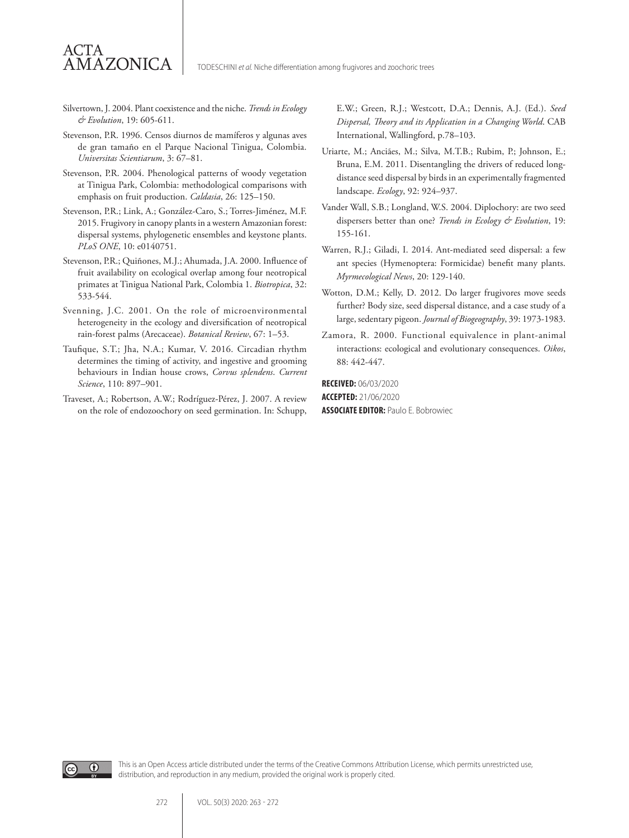Silvertown, J. 2004. Plant coexistence and the niche. *Trends in Ecology & Evolution*, 19: 605-611.

ACTA

AMAZONICA

- Stevenson, P.R. 1996. Censos diurnos de mamíferos y algunas aves de gran tamaño en el Parque Nacional Tinigua, Colombia. *Universitas Scientiarum*, 3: 67–81.
- Stevenson, P.R. 2004. Phenological patterns of woody vegetation at Tinigua Park, Colombia: methodological comparisons with emphasis on fruit production. *Caldasia*, 26: 125–150.
- Stevenson, P.R.; Link, A.; González-Caro, S.; Torres-Jiménez, M.F. 2015. Frugivory in canopy plants in a western Amazonian forest: dispersal systems, phylogenetic ensembles and keystone plants. *PLoS ONE*, 10: e0140751.
- Stevenson, P.R.; Quiñones, M.J.; Ahumada, J.A. 2000. Influence of fruit availability on ecological overlap among four neotropical primates at Tinigua National Park, Colombia 1. *Biotropica*, 32: 533-544.
- Svenning, J.C. 2001. On the role of microenvironmental heterogeneity in the ecology and diversification of neotropical rain-forest palms (Arecaceae). *Botanical Review*, 67: 1–53.
- Taufique, S.T.; Jha, N.A.; Kumar, V. 2016. Circadian rhythm determines the timing of activity, and ingestive and grooming behaviours in Indian house crows, *Corvus splendens*. *Current Science*, 110: 897–901.
- Traveset, A.; Robertson, A.W.; Rodríguez-Pérez, J. 2007. A review on the role of endozoochory on seed germination. In: Schupp,

E.W.; Green, R.J.; Westcott, D.A.; Dennis, A.J. (Ed.). *Seed Dispersal, Theory and its Application in a Changing World*. CAB International, Wallingford, p.78–103.

- Uriarte, M.; Anciães, M.; Silva, M.T.B.; Rubim, P.; Johnson, E.; Bruna, E.M. 2011. Disentangling the drivers of reduced longdistance seed dispersal by birds in an experimentally fragmented landscape. *Ecology*, 92: 924–937.
- Vander Wall, S.B.; Longland, W.S. 2004. Diplochory: are two seed dispersers better than one? *Trends in Ecology & Evolution*, 19: 155-161.
- Warren, R.J.; Giladi, I. 2014. Ant-mediated seed dispersal: a few ant species (Hymenoptera: Formicidae) benefit many plants. *Myrmecological News*, 20: 129-140.
- Wotton, D.M.; Kelly, D. 2012. Do larger frugivores move seeds further? Body size, seed dispersal distance, and a case study of a large, sedentary pigeon. *Journal of Biogeography*, 39: 1973-1983.
- Zamora, R. 2000. Functional equivalence in plant-animal interactions: ecological and evolutionary consequences. *Oikos*, 88: 442-447.

**RECEIVED:** 06/03/2020 **ACCEPTED:** 21/06/2020 **ASSOCIATE EDITOR:** Paulo E. Bobrowiec



This is an Open Access article distributed under the terms of the Creative Commons Attribution License, which permits unrestricted use, distribution, and reproduction in any medium, provided the original work is properly cited.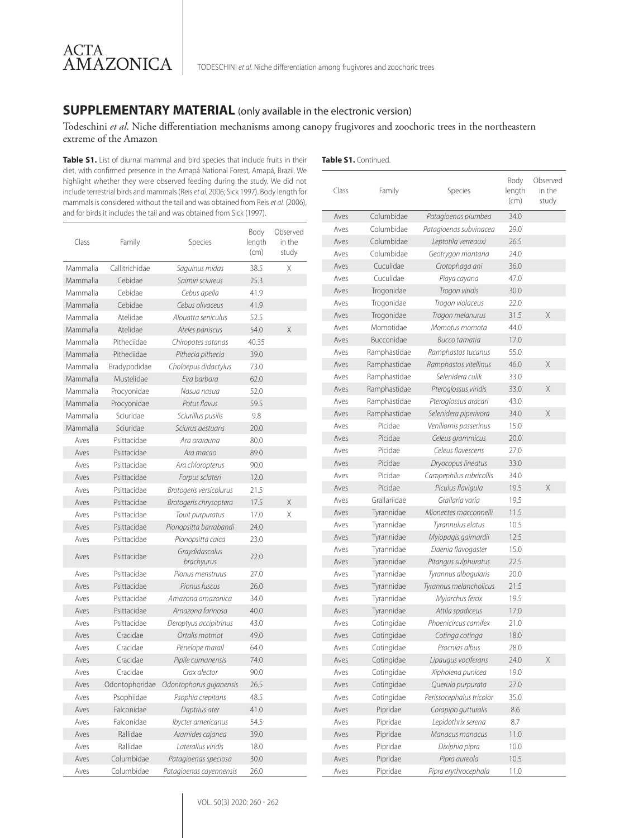# **SUPPLEMENTARY MATERIAL** (only available in the electronic version)

#### Todeschini *et al*. Niche differentiation mechanisms among canopy frugivores and zoochoric trees in the northeastern extreme of the Amazon

Table S1. List of diurnal mammal and bird species that include fruits in their diet, with confirmed presence in the Amapá National Forest, Amapá, Brazil. We highlight whether they were observed feeding during the study. We did not include terrestrial birds and mammals (Reis *et al.* 2006; Sick 1997). Body length for mammals is considered without the tail and was obtained from Reis *et al.* (2006), and for birds it includes the tail and was obtained from Sick (1997).

ACTA

AMAZONICA

| Class    | Family         | Species                      | Body<br>length<br>(cm) | Observed<br>in the<br>study |
|----------|----------------|------------------------------|------------------------|-----------------------------|
| Mammalia | Callitrichidae | Saguinus midas               | 38.5                   | Χ                           |
| Mammalia | Cebidae        | Saimiri sciureus             | 25.3                   |                             |
| Mammalia | Cebidae        | Cebus apella                 | 41.9                   |                             |
| Mammalia | Cebidae        | Cebus olivaceus              | 41.9                   |                             |
| Mammalia | Atelidae       | Alouatta seniculus           | 52.5                   |                             |
| Mammalia | Atelidae       | Ateles paniscus              | 54.0                   | X                           |
| Mammalia | Pitheciidae    | Chiropotes satanas           | 40.35                  |                             |
| Mammalia | Pitheciidae    | Pithecia pithecia            | 39.0                   |                             |
| Mammalia | Bradypodidae   | Choloepus didactylus         | 73.0                   |                             |
| Mammalia | Mustelidae     | Eira barbara                 | 62.0                   |                             |
| Mammalia | Procyonidae    | Nasua nasua                  | 52.0                   |                             |
| Mammalia | Procyonidae    | Potus flavus                 | 59.5                   |                             |
| Mammalia | Sciuridae      | Sciurillus pusilis           | 9.8                    |                             |
| Mammalia | Sciuridae      | Sciurus aestuans             | 20.0                   |                             |
| Aves     | Psittacidae    | Ara ararauna                 | 80.0                   |                             |
| Aves     | Psittacidae    | Ara macao                    | 89.0                   |                             |
| Aves     | Psittacidae    | Ara chloropterus             | 90.0                   |                             |
| Aves     | Psittacidae    | Forpus sclateri              | 12.0                   |                             |
| Aves     | Psittacidae    | Brotogeris versicolurus      | 21.5                   |                             |
| Aves     | Psittacidae    | Brotogeris chrysoptera       | 17.5                   | Χ                           |
| Aves     | Psittacidae    | Touit purpuratus             | 17.0                   | Χ                           |
| Aves     | Psittacidae    | Pionopsitta barrabandi       | 24.0                   |                             |
| Aves     | Psittacidae    | Pionopsitta caica            | 23.0                   |                             |
| Aves     | Psittacidae    | Graydidascalus<br>brachyurus | 22.0                   |                             |
| Aves     | Psittacidae    | Pionus menstruus             | 27.0                   |                             |
| Aves     | Psittacidae    | Pionus fuscus                | 26.0                   |                             |
| Aves     | Psittacidae    | Amazona amazonica            | 34.0                   |                             |
| Aves     | Psittacidae    | Amazona farinosa             | 40.0                   |                             |
| Aves     | Psittacidae    | Deroptyus accipitrinus       | 43.0                   |                             |
| Aves     | Cracidae       | Ortalis motmot               | 49.0                   |                             |
| Aves     | Cracidae       | Penelope marail              | 64.0                   |                             |
| Aves     | Cracidae       | Pipile cumanensis            | 74.0                   |                             |
| Aves     | Cracidae       | Crax alector                 | 90.0                   |                             |
| Aves     | Odontophoridae | Odontophorus qujanensis      | 26.5                   |                             |
| Aves     | Psophiidae     | Psophia crepitans            | 48.5                   |                             |
| Aves     | Falconidae     | Daptrius ater                | 41.0                   |                             |
| Aves     | Falconidae     | <b>Ibycter</b> americanus    | 54.5                   |                             |
| Aves     | Rallidae       | Aramides cajanea             | 39.0                   |                             |
| Aves     | Rallidae       | Laterallus viridis           | 18.0                   |                             |
| Aves     | Columbidae     | Patagioenas speciosa         | 30.0                   |                             |
| Aves     | Columbidae     | Patagioenas cayennensis      | 26.0                   |                             |

| Class | Family       | Species                  | Body<br>length<br>(cm) | Observed<br>in the<br>study |
|-------|--------------|--------------------------|------------------------|-----------------------------|
| Aves  | Columbidae   | Patagioenas plumbea      | 34.0                   |                             |
| Aves  | Columbidae   | Patagioenas subvinacea   | 29.0                   |                             |
| Aves  | Columbidae   | Leptotila verreauxi      | 26.5                   |                             |
| Aves  | Columbidae   | Geotrygon montana        | 24.0                   |                             |
| Aves  | Cuculidae    | Crotophaga ani           | 36.0                   |                             |
| Aves  | Cuculidae    | Piaya cayana             | 47.0                   |                             |
| Aves  | Trogonidae   | Trogon viridis           | 30.0                   |                             |
| Aves  | Trogonidae   | Trogon violaceus         | 22.0                   |                             |
| Aves  | Trogonidae   | Trogon melanurus         | 31.5                   | X                           |
| Aves  | Momotidae    | Momotus momota           | 44.0                   |                             |
| Aves  | Bucconidae   | Bucco tamatia            | 17.0                   |                             |
| Aves  | Ramphastidae | Ramphastos tucanus       | 55.0                   |                             |
| Aves  | Ramphastidae | Ramphastos vitellinus    | 46.0                   | X                           |
| Aves  | Ramphastidae | Selenidera culik         | 33.0                   |                             |
| Aves  | Ramphastidae | Pteroglossus viridis     | 33.0                   | X                           |
| Aves  | Ramphastidae | Pteroglossus aracari     | 43.0                   |                             |
| Aves  | Ramphastidae | Selenidera piperivora    | 34.0                   | X                           |
| Aves  | Picidae      | Veniliornis passerinus   | 15.0                   |                             |
| Aves  | Picidae      | Celeus grammicus         | 20.0                   |                             |
| Aves  | Picidae      | Celeus flavescens        | 27.0                   |                             |
| Aves  | Picidae      | Dryocopus lineatus       | 33.0                   |                             |
| Aves  | Picidae      | Campephilus rubricollis  | 34.0                   |                             |
| Aves  | Picidae      | Piculus flavigula        | 19.5                   | X                           |
| Aves  | Grallariidae | Grallaria varia          | 19.5                   |                             |
| Aves  | Tyrannidae   | Mionectes macconnelli    | 11.5                   |                             |
| Aves  | Tyrannidae   | Tyrannulus elatus        | 10.5                   |                             |
| Aves  | Tyrannidae   | Myiopagis gaimardii      | 12.5                   |                             |
| Aves  | Tyrannidae   | Elaenia flavogaster      | 15.0                   |                             |
| Aves  | Tyrannidae   | Pitangus sulphuratus     | 22.5                   |                             |
| Aves  | Tyrannidae   | Tyrannus albogularis     | 20.0                   |                             |
| Aves  | Tyrannidae   | Tyrannus melancholicus   | 21.5                   |                             |
| Aves  | Tyrannidae   | Myiarchus ferox          | 19.5                   |                             |
| Aves  | Tyrannidae   | Attila spadiceus         | 17.0                   |                             |
| Aves  | Cotingidae   | Phoenicircus carnifex    | 21.0                   |                             |
| Aves  | Cotingidae   | Cotinga cotinga          | 18.0                   |                             |
| Aves  | Cotingidae   | Procnias albus           | 28.0                   |                             |
| Aves  | Cotingidae   | Lipaugus vociferans      | 24.0                   | Χ                           |
| Aves  | Cotingidae   | Xipholena punicea        | 19.0                   |                             |
|       | Cotingidae   |                          |                        |                             |
| Aves  |              | Querula purpurata        | 27.0                   |                             |
| Aves  | Cotingidae   | Perissocephalus tricolor | 35.0                   |                             |
| Aves  | Pipridae     | Corapipo gutturalis      | 8.6                    |                             |
| Aves  | Pipridae     | Lepidothrix serena       | 8.7                    |                             |
| Aves  | Pipridae     | Manacus manacus          | 11.0                   |                             |
| Aves  | Pipridae     | Dixiphia pipra           | 10.0                   |                             |
| Aves  | Pipridae     | Pipra aureola            | 10.5                   |                             |
| Aves  | Pipridae     | Pipra erythrocephala     | 11.0                   |                             |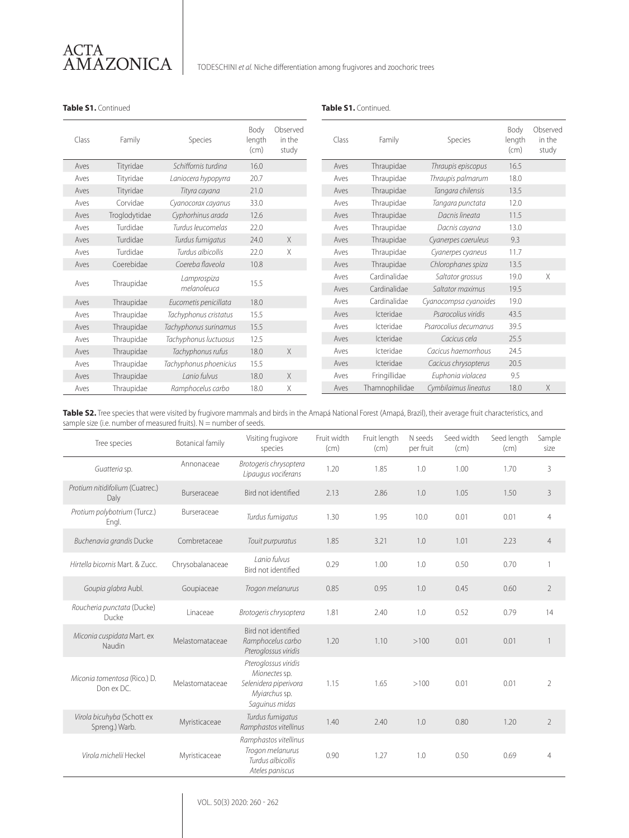

#### **Table S1.** Continued **Table S1.** Continued.

| Class | Family        | Species                | Body<br>length<br>(cm) | Observed<br>in the<br>study | Class | Family           |
|-------|---------------|------------------------|------------------------|-----------------------------|-------|------------------|
| Aves  | Tityridae     | Schiffornis turdina    | 16.0                   |                             | Aves  | Thraupidae       |
| Aves  | Tityridae     | Laniocera hypopyrra    | 20.7                   |                             | Aves  | Thraupidae       |
| Aves  | Tityridae     | Tityra cayana          | 21.0                   |                             | Aves  | Thraupidae       |
| Aves  | Corvidae      | Cyanocorax cayanus     | 33.0                   |                             | Aves  | Thraupidae       |
| Aves  | Troglodytidae | Cyphorhinus arada      | 12.6                   |                             | Aves  | Thraupidae       |
| Aves  | Turdidae      | Turdus leucomelas      | 22.0                   |                             | Aves  | Thraupidae       |
| Aves  | Turdidae      | Turdus fumigatus       | 24.0                   | X                           | Aves  | Thraupidae       |
| Aves  | Turdidae      | Turdus albicollis      | 22.0                   | X                           | Aves  | Thraupidae       |
| Aves  | Coerebidae    | Coereba flaveola       | 10.8                   |                             | Aves  | Thraupidae       |
|       |               | Lamprospiza            |                        |                             | Aves  | Cardinalida      |
| Aves  | Thraupidae    | melanoleuca            | 15.5                   |                             | Aves  | Cardinalida      |
| Aves  | Thraupidae    | Eucometis penicillata  | 18.0                   |                             | Aves  | Cardinalida      |
| Aves  | Thraupidae    | Tachyphonus cristatus  | 15.5                   |                             | Aves  | <b>Icteridae</b> |
| Aves  | Thraupidae    | Tachyphonus surinamus  | 15.5                   |                             | Aves  | Icteridae        |
| Aves  | Thraupidae    | Tachyphonus luctuosus  | 12.5                   |                             | Aves  | Icteridae        |
| Aves  | Thraupidae    | Tachyphonus rufus      | 18.0                   | X                           | Aves  | <b>Icteridae</b> |
| Aves  | Thraupidae    | Tachyphonus phoenicius | 15.5                   |                             | Aves  | Icteridae        |
| Aves  | Thraupidae    | Lanio fulvus           | 18.0                   | X                           | Aves  | Fringillidae     |
| Aves  | Thraupidae    | Ramphocelus carbo      | 18.0                   | X                           | Aves  | Thamnophilio     |

| Class | Family         | Species               | Body<br>length<br>(cm) | Observed<br>in the<br>study |
|-------|----------------|-----------------------|------------------------|-----------------------------|
| Aves  | Thraupidae     | Thraupis episcopus    | 16.5                   |                             |
| Aves  | Thraupidae     | Thraupis palmarum     | 18.0                   |                             |
| Aves  | Thraupidae     | Tangara chilensis     | 13.5                   |                             |
| Aves  | Thraupidae     | Tangara punctata      | 12.0                   |                             |
| Aves  | Thraupidae     | Dacnis lineata        | 11.5                   |                             |
| Aves  | Thraupidae     | Dacnis cayana         | 13.0                   |                             |
| Aves  | Thraupidae     | Cyanerpes caeruleus   | 9.3                    |                             |
| Aves  | Thraupidae     | Cyanerpes cyaneus     | 11.7                   |                             |
| Aves  | Thraupidae     | Chlorophanes spiza    | 13.5                   |                             |
| Aves  | Cardinalidae   | Saltator grossus      | 19.0                   | X                           |
| Aves  | Cardinalidae   | Saltator maximus      | 19.5                   |                             |
| Aves  | Cardinalidae   | Cyanocompsa cyanoides | 19.0                   |                             |
| Aves  | Icteridae      | Psarocolius viridis   | 43.5                   |                             |
| Aves  | Icteridae      | Psarocolius decumanus | 39.5                   |                             |
| Aves  | Icteridae      | Cacicus cela          | 25.5                   |                             |
| Aves  | Icteridae      | Cacicus haemorrhous   | 24.5                   |                             |
| Aves  | Icteridae      | Cacicus chrysopterus  | 20.5                   |                             |
| Aves  | Fringillidae   | Euphonia violacea     | 9.5                    |                             |
| Aves  | Thamnophilidae | Cymbilaimus lineatus  | 18.0                   | X                           |

**Table S2.** Tree species that were visited by frugivore mammals and birds in the Amapá National Forest (Amapá, Brazil), their average fruit characteristics, and sample size (i.e. number of measured fruits).  $N =$  number of seeds.

| Tree species                                            | Visiting frugivore<br>Botanical family<br>species |                                                                                                   | Fruit width<br>(cm) | Fruit length<br>(cm) | N seeds<br>per fruit | Seed width<br>(cm) | Seed length<br>(cm) | Sample<br>size |
|---------------------------------------------------------|---------------------------------------------------|---------------------------------------------------------------------------------------------------|---------------------|----------------------|----------------------|--------------------|---------------------|----------------|
| Guatteria sp.                                           | Annonaceae                                        | Brotogeris chrysoptera<br>Lipaugus vociferans                                                     | 1.20                | 1.85                 | 1.0                  | 1.00               | 1.70                | 3              |
| Protium nitidifolium (Cuatrec.)<br>Daly                 | Burseraceae                                       | Bird not identified                                                                               | 2.13                | 2.86                 | 1.0                  | 1.05               | 1.50                | 3              |
| Protium polybotrium (Turcz.)<br>Engl.                   | Burseraceae                                       | Turdus fumigatus                                                                                  | 1.30                | 1.95                 | 10.0                 | 0.01               | 0.01                | $\overline{4}$ |
| Buchenavia grandis Ducke                                | Combretaceae                                      | Touit purpuratus                                                                                  | 1.85                | 3.21                 | 1.0                  | 1.01               | 2.23                | $\overline{4}$ |
| Hirtella bicornis Mart, & Zucc.                         | Chrysobalanaceae                                  | Lanio fulvus<br>Bird not identified                                                               | 0.29                | 1.00                 | 1.0                  | 0.50               | 0.70                | $\mathbf{1}$   |
| Goupia glabra Aubl.<br>Goupiaceae                       |                                                   | Trogon melanurus                                                                                  | 0.85                | 0.95                 | 1.0                  | 0.45               | 0.60                | $\overline{2}$ |
| Roucheria punctata (Ducke)<br>Ducke                     | Linaceae                                          | Brotogeris chrysoptera                                                                            | 1.81                | 2.40                 | 1.0                  | 0.52               | 0.79                | 14             |
| Miconia cuspidata Mart. ex<br>Melastomataceae<br>Naudin |                                                   | Bird not identified<br>Ramphocelus carbo<br>Pteroglossus viridis                                  | 1.20                | 1.10                 | >100                 | 0.01               | 0.01                | 1              |
| Miconia tomentosa (Rico.) D.<br>Don ex DC.              | Melastomataceae                                   | Pteroglossus viridis<br>Mionectes sp.<br>Selenidera piperivora<br>Myjarchus sp.<br>Saguinus midas | 1.15                | 1.65                 | >100                 | 0.01               | 0.01                | $\overline{2}$ |
| Virola bicuhyba (Schott ex<br>Spreng.) Warb.            | Myristicaceae                                     | Turdus fumigatus<br>Ramphastos vitellinus                                                         | 1.40                | 2.40                 | 1.0                  | 0.80               | 1.20                | $\overline{2}$ |
| Virola michelii Heckel                                  | Myristicaceae                                     | Ramphastos vitellinus<br>Trogon melanurus<br>Turdus albicollis<br>Ateles paniscus                 | 0.90                | 1.27                 | 1.0                  | 0.50               | 0.69                | $\overline{4}$ |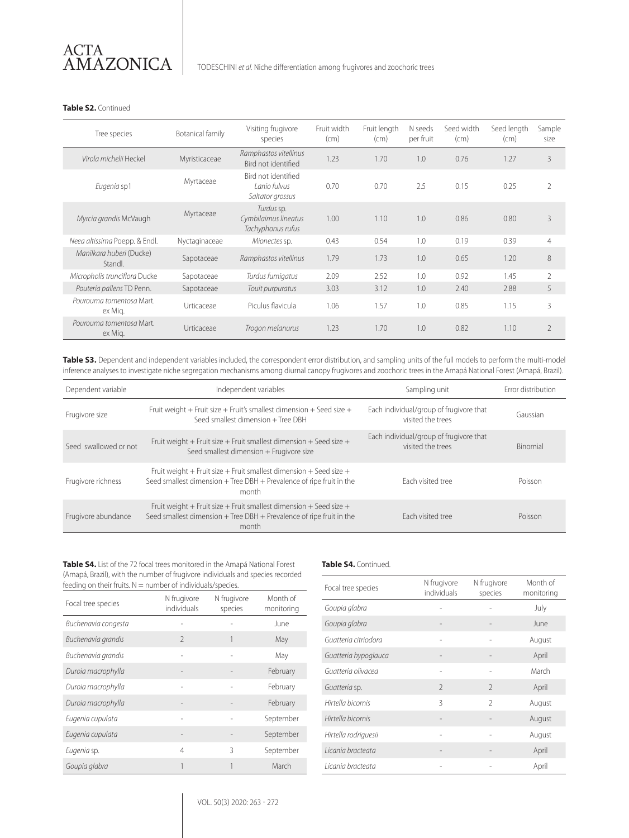

TODESCHINI *et al.* Niche differentiation among frugivores and zoochoric trees

#### **Table S2.** Continued

| Tree species                        | Botanical family | Visiting frugivore<br>species                           | Fruit width<br>(cm) | Fruit length<br>(cm) | N seeds<br>per fruit | Seed width<br>(cm) | Seed length<br>(cm) | Sample<br>size |
|-------------------------------------|------------------|---------------------------------------------------------|---------------------|----------------------|----------------------|--------------------|---------------------|----------------|
| Virola michelii Heckel              | Myristicaceae    | Ramphastos vitellinus<br>Bird not identified            | 1.23                | 1.70                 | 1.0                  | 0.76               | 1.27                | 3              |
| Eugenia sp1                         | Myrtaceae        | Bird not identified<br>Lanio fulvus<br>Saltator grossus | 0.70                | 0.70                 | 2.5                  | 0.15               | 0.25                | $\overline{2}$ |
| Myrtaceae<br>Myrcia grandis McVaugh |                  | Turdus sp.<br>Cymbilaimus lineatus<br>Tachyphonus rufus | 1.00                | 1.10                 | 1.0                  | 0.86               | 0.80                | $\overline{3}$ |
| Neea altissima Poepp. & Endl.       | Nyctaginaceae    | Mionectes sp.                                           | 0.43                | 0.54                 | 1.0                  | 0.19               | 0.39                | $\overline{4}$ |
| Manilkara huberi (Ducke)<br>Standl. | Sapotaceae       |                                                         | 1.79                | 1.73                 | 1.0                  | 0.65               | 1.20                | 8              |
| Micropholis trunciflora Ducke       | Sapotaceae       | Turdus fumigatus                                        | 2.09                | 2.52                 | 1.0                  | 0.92               | 1.45                | $\mathcal{L}$  |
| Pouteria pallens TD Penn.           | Sapotaceae       | Touit purpuratus                                        | 3.03                | 3.12                 | 1.0                  | 2.40               | 2.88                | 5              |
| Pourouma tomentosa Mart.<br>ex Mig. | Urticaceae       | Piculus flavicula                                       | 1.06                | 1.57                 | 1.0                  | 0.85               | 1.15                | 3              |
| Pourouma tomentosa Mart.<br>ex Mig. | Urticaceae       | Trogon melanurus                                        | 1.23                | 1.70                 | 1.0                  | 0.82               | 1.10                | $\overline{2}$ |

**Table S3.** Dependent and independent variables included, the correspondent error distribution, and sampling units of the full models to perform the multi-model inference analyses to investigate niche segregation mechanisms among diurnal canopy frugivores and zoochoric trees in the Amapá National Forest (Amapá, Brazil).

| Dependent variable    | Independent variables                                                                                                                                   | Sampling unit                                                | Frror distribution |
|-----------------------|---------------------------------------------------------------------------------------------------------------------------------------------------------|--------------------------------------------------------------|--------------------|
| Frugivore size        | Fruit weight + Fruit size + Fruit's smallest dimension + Seed size +<br>Seed smallest dimension + Tree DBH                                              | Each individual/group of frugivore that<br>visited the trees | Gaussian           |
| Seed swallowed or not | Fruit weight + Fruit size + Fruit smallest dimension + Seed size +<br>Seed smallest dimension + Frugivore size                                          | Each individual/group of frugivore that<br>visited the trees | Binomial           |
| Frugivore richness    | Fruit weight + Fruit size + Fruit smallest dimension + Seed size +<br>Seed smallest dimension $+$ Tree DBH $+$ Prevalence of ripe fruit in the<br>month | Fach visited tree                                            | Poisson            |
| Frugivore abundance   | Fruit weight + Fruit size + Fruit smallest dimension + Seed size +<br>Seed smallest dimension $+$ Tree DBH $+$ Prevalence of ripe fruit in the<br>month | Fach visited tree                                            | Poisson            |

**Table S4.** List of the 72 focal trees monitored in the Amapá National Forest (Amapá, Brazil), with the number of frugivore individuals and species recorded feeding on their fruits.  $N =$  number of individuals/species.

| Focal tree species  | N frugivore<br>individuals | N frugivore<br>species | Month of<br>monitoring |
|---------------------|----------------------------|------------------------|------------------------|
| Buchenavia congesta |                            |                        | June                   |
| Buchenavia grandis  | $\mathcal{P}$              | 1                      | May                    |
| Buchenavia grandis  |                            |                        | May                    |
| Duroia macrophylla  |                            |                        | February               |
| Duroia macrophylla  | $\overline{a}$             |                        | February               |
| Duroia macrophylla  |                            |                        | February               |
| Eugenia cupulata    | $\overline{a}$             |                        | September              |
| Eugenia cupulata    |                            |                        | September              |
| Eugenia sp.         | 4                          | 3                      | September              |
| Goupia glabra       | 1                          | 1                      | March                  |

#### **Table S4.** Continued.

| Focal tree species   | N frugivore<br>individuals | N frugivore<br>species | Month of<br>monitoring |
|----------------------|----------------------------|------------------------|------------------------|
| Goupia glabra        |                            |                        | July                   |
| Goupia glabra        |                            |                        | June                   |
| Guatteria citriodora | $\overline{\phantom{0}}$   |                        | August                 |
| Guatteria hypoglauca |                            |                        | April                  |
| Guatteria olivacea   | -                          |                        | March                  |
| Guatteria sp.        | $\mathfrak{D}$             | $\mathfrak{D}$         | April                  |
| Hirtella bicornis    | 3                          | $\mathfrak{D}$         | August                 |
| Hirtella bicornis    |                            |                        | August                 |
| Hirtella rodriguesii | -                          |                        | August                 |
| Licania bracteata    |                            |                        | April                  |
| l icania bracteata   |                            |                        | April                  |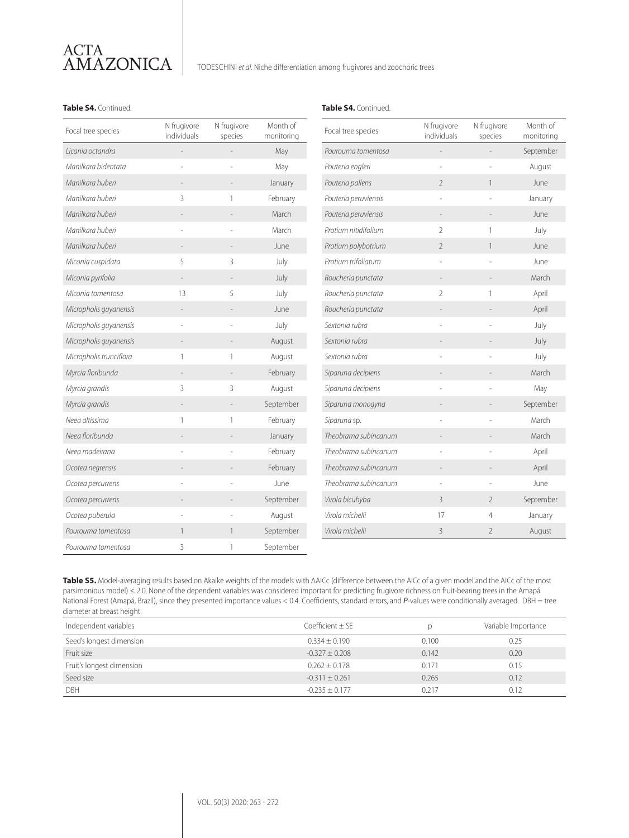# ACTA AMAZONICA

TODESCHINI *et al.* Niche differentiation among frugivores and zoochoric trees

#### **Table S4.** Continued. **Table S4.** Continued.

| Focal tree species      | N frugivore<br>individuals | N frugivore<br>species | Month of<br>monitoring | Focal tree species   | N frugivore<br>individuals | N frugivore<br>species | Month of<br>monitorino |
|-------------------------|----------------------------|------------------------|------------------------|----------------------|----------------------------|------------------------|------------------------|
| Licania octandra        |                            |                        | May                    | Pourouma tomentosa   | L,                         |                        | September              |
| Manilkara bidentata     |                            |                        | May                    | Pouteria engleri     |                            |                        | August                 |
| Manilkara huberi        |                            |                        | January                | Pouteria pallens     | $\overline{2}$             | 1                      | June                   |
| Manilkara huberi        | 3                          | 1                      | February               | Pouteria peruviensis | ÷,                         |                        | January                |
| Manilkara huberi        |                            |                        | March                  | Pouteria peruviensis |                            |                        | June                   |
| Manilkara huberi        |                            |                        | March                  | Protium nitidifolium | $\overline{2}$             | $\mathbf{1}$           | July                   |
| Manilkara huberi        |                            | $\overline{a}$         | June                   | Protium polybotrium  | $\overline{2}$             | $\mathbf{1}$           | June                   |
| Miconia cuspidata       | 5                          | 3                      | July                   | Protium trifoliatum  |                            |                        | June                   |
| Miconia pyrifolia       |                            |                        | July                   | Roucheria punctata   |                            |                        | March                  |
| Miconia tomentosa       | 13                         | 5                      | July                   | Roucheria punctata   | $\overline{2}$             | 1                      | April                  |
| Micropholis guyanensis  |                            |                        | <b>June</b>            | Roucheria punctata   |                            |                        | April                  |
| Micropholis guyanensis  |                            |                        | July                   | Sextonia rubra       |                            |                        | July                   |
| Micropholis guyanensis  |                            |                        | August                 | Sextonia rubra       |                            |                        | July                   |
| Micropholis trunciflora |                            | 1                      | August                 | Sextonia rubra       |                            |                        | July                   |
| Myrcia floribunda       |                            |                        | February               | Siparuna decipiens   |                            |                        | March                  |
| Myrcia grandis          | 3                          | 3                      | August                 | Siparuna decipiens   |                            |                        | May                    |
| Myrcia grandis          |                            |                        | September              | Siparuna monogyna    |                            |                        | September              |
| Neea altissima          |                            | 1                      | February               | Siparuna sp.         |                            |                        | March                  |
| Neea floribunda         |                            |                        | January                | Theobrama subincanum |                            |                        | March                  |
| Neea madeirana          |                            |                        | February               | Theobrama subincanum |                            |                        | April                  |
| Ocotea negrensis        |                            |                        | February               | Theobrama subincanum |                            |                        | April                  |
| Ocotea percurrens       |                            |                        | June                   | Theobrama subincanum |                            |                        | June                   |
| Ocotea percurrens       |                            |                        | September              | Virola bicuhyba      | 3                          | $\overline{2}$         | September              |
| Ocotea puberula         |                            |                        | August                 | Virola michelli      | 17                         | 4                      | January                |
| Pourouma tomentosa      |                            | 1                      | September              | Virola michelli      | 3                          | $\overline{2}$         | August                 |
| Pourouma tomentosa      | 3                          | 1                      | September              |                      |                            |                        |                        |

**Table S5.** Model-averaging results based on Akaike weights of the models with ΔAICc (difference between the AICc of a given model and the AICc of the most parsimonious model) ≤ 2.0. None of the dependent variables was considered important for predicting frugivore richness on fruit-bearing trees in the Amapá National Forest (Amapá, Brazil), since they presented importance values < 0.4. Coefficients, standard errors, and *P*-values were conditionally averaged. DBH = tree diameter at breast height.

| Independent variables     | Coefficient $\pm$ SE |       | Variable Importance |
|---------------------------|----------------------|-------|---------------------|
| Seed's longest dimension  | $0.334 + 0.190$      | 0.100 | 0.25                |
| Fruit size                | $-0.327 + 0.208$     | 0.142 | 0.20                |
| Fruit's longest dimension | $0.262 + 0.178$      | 0.171 | 0.15                |
| Seed size                 | $-0.311 \pm 0.261$   | 0.265 | 0.12                |
| DBH                       | $-0.235 + 0.177$     | 0.217 | N 12                |